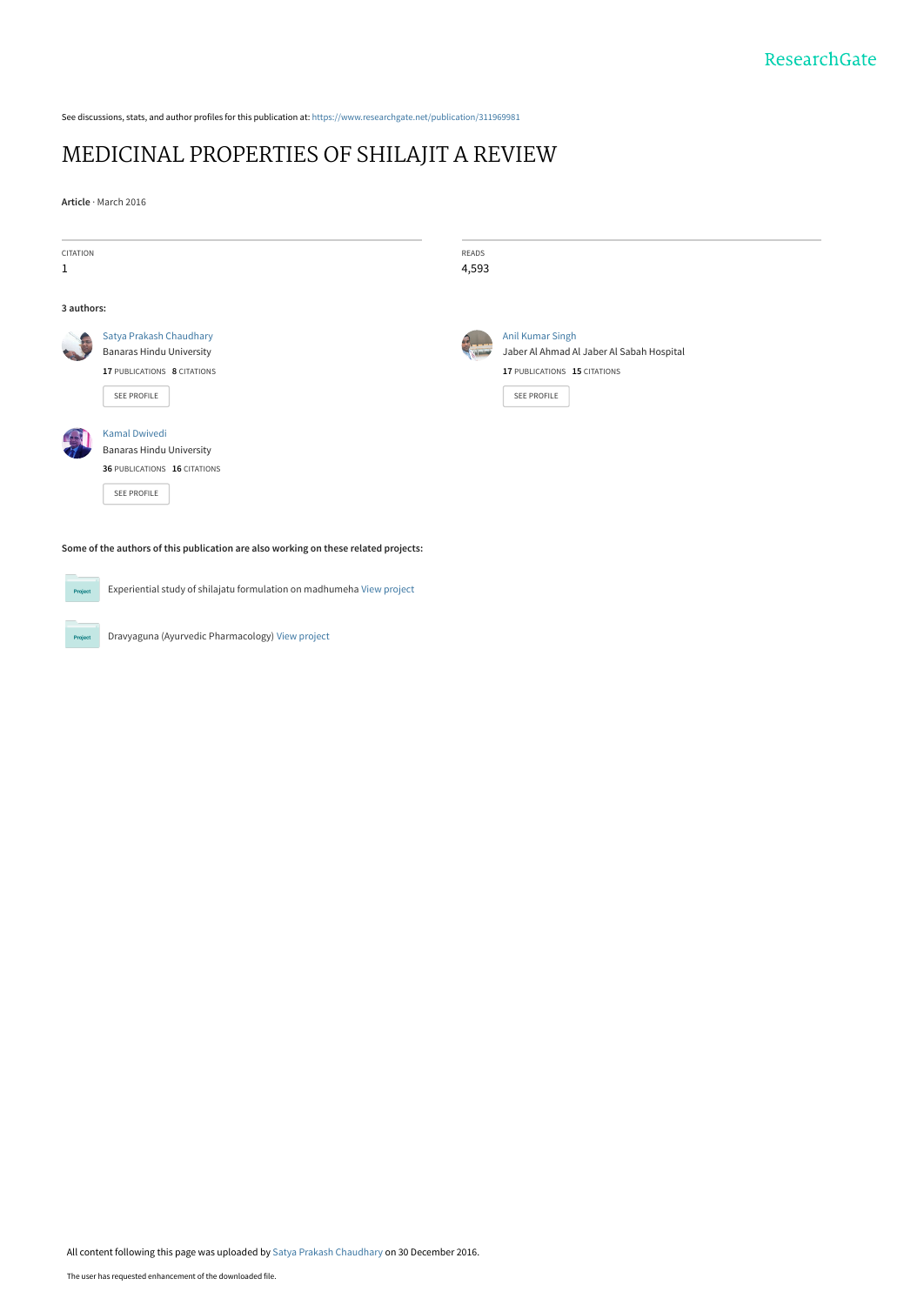See discussions, stats, and author profiles for this publication at: [https://www.researchgate.net/publication/311969981](https://www.researchgate.net/publication/311969981_MEDICINAL_PROPERTIES_OF_SHILAJIT_A_REVIEW?enrichId=rgreq-3ed40608cbba2282916e1c2507397df3-XXX&enrichSource=Y292ZXJQYWdlOzMxMTk2OTk4MTtBUzo0NDQ4NTc3OTA1Mzc3MjlAMTQ4MzA3Mzc3MDI2NA%3D%3D&el=1_x_2&_esc=publicationCoverPdf)

## [MEDICINAL PROPERTIES OF SHILAJIT A REVIEW](https://www.researchgate.net/publication/311969981_MEDICINAL_PROPERTIES_OF_SHILAJIT_A_REVIEW?enrichId=rgreq-3ed40608cbba2282916e1c2507397df3-XXX&enrichSource=Y292ZXJQYWdlOzMxMTk2OTk4MTtBUzo0NDQ4NTc3OTA1Mzc3MjlAMTQ4MzA3Mzc3MDI2NA%3D%3D&el=1_x_3&_esc=publicationCoverPdf)

**Article** · March 2016

| CITATION<br>$\mathbf{1}$                                                            |                                                                                                                 | READS<br>4,593 |                                                                                                                            |
|-------------------------------------------------------------------------------------|-----------------------------------------------------------------------------------------------------------------|----------------|----------------------------------------------------------------------------------------------------------------------------|
| 3 authors:                                                                          |                                                                                                                 |                |                                                                                                                            |
|                                                                                     | Satya Prakash Chaudhary<br><b>Banaras Hindu University</b><br>17 PUBLICATIONS 8 CITATIONS<br><b>SEE PROFILE</b> |                | <b>Anil Kumar Singh</b><br>Jaber Al Ahmad Al Jaber Al Sabah Hospital<br>17 PUBLICATIONS 15 CITATIONS<br><b>SEE PROFILE</b> |
|                                                                                     | <b>Kamal Dwivedi</b><br><b>Banaras Hindu University</b><br>36 PUBLICATIONS 16 CITATIONS<br><b>SEE PROFILE</b>   |                |                                                                                                                            |
| Some of the authors of this publication are also working on these related projects: |                                                                                                                 |                |                                                                                                                            |
| Project                                                                             | Experiential study of shilajatu formulation on madhumeha View project                                           |                |                                                                                                                            |
| Project                                                                             | Dravyaguna (Ayurvedic Pharmacology) View project                                                                |                |                                                                                                                            |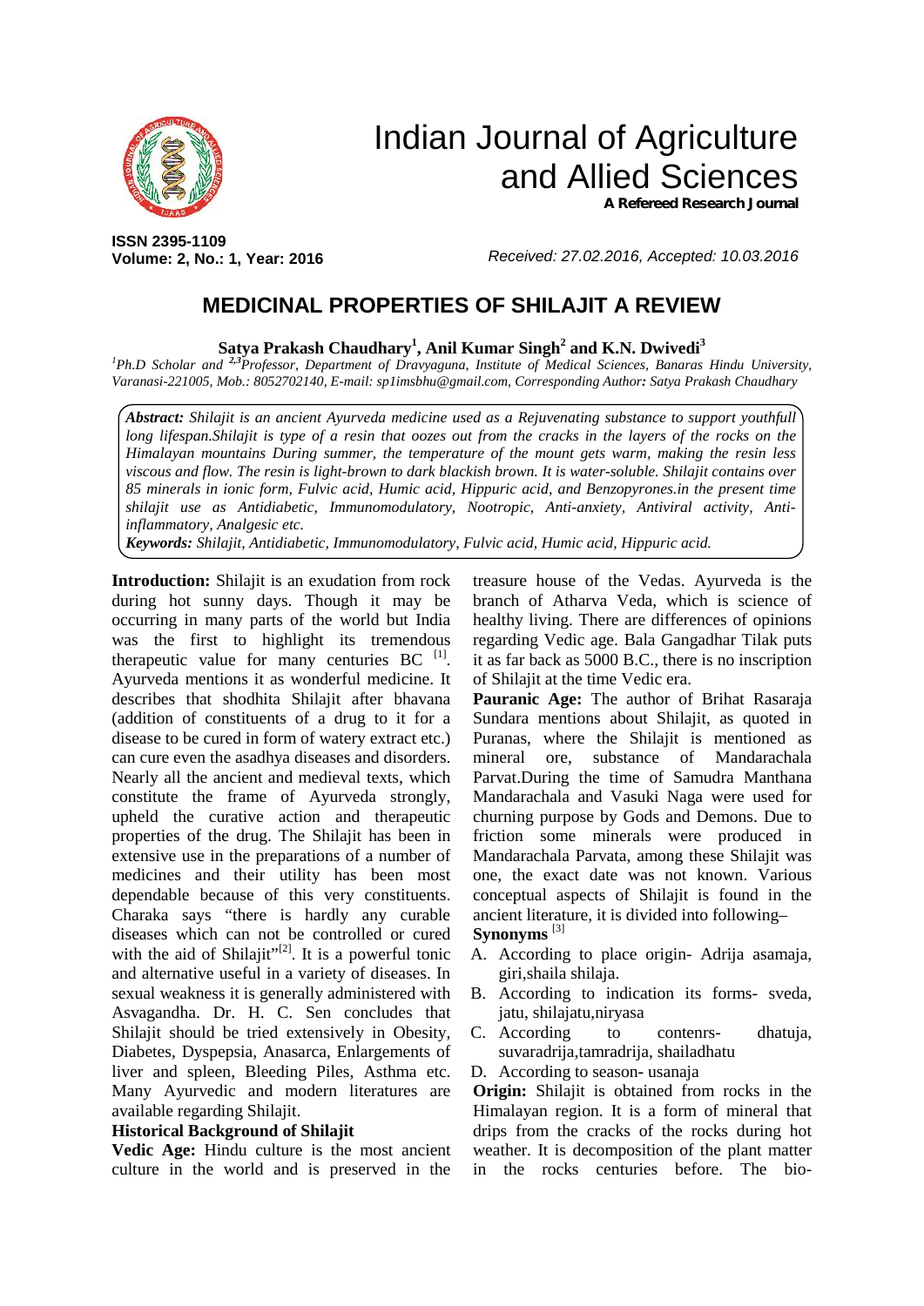

# Indian Journal of Agriculture and Allied Sciences *A Refereed Research Journal*

**ISSN 2395-1109 Volume: 2, No.: 1, Year: 2016**

*Received: 27.02.2016, Accepted: 10.03.2016*

## **MEDICINAL PROPERTIES OF SHILAJIT A REVIEW**

**Satya Prakash Chaudhary<sup>1</sup> , Anil Kumar Singh<sup>2</sup> and K.N. Dwivedi<sup>3</sup>**

*<sup>1</sup>Ph.D Scholar and 2,3Professor, Department of Dravyaguna, Institute of Medical Sciences, Banaras Hindu University, Varanasi-221005, Mob.: 8052702140, E-mail: sp1imsbhu@gmail.com, Corresponding Author: Satya Prakash Chaudhary*

*Abstract: Shilajit is an ancient Ayurveda medicine used as a Rejuvenating substance to support youthfull long lifespan.Shilajit is type of a resin that oozes out from the cracks in the layers of the rocks on the Himalayan mountains During summer, the temperature of the mount gets warm, making the resin less viscous and flow. The resin is light-brown to dark blackish brown. It is water-soluble. Shilajit contains over 85 minerals in ionic form, Fulvic acid, Humic acid, Hippuric acid, and Benzopyrones.in the present time shilajit use as Antidiabetic, Immunomodulatory, Nootropic, Anti-anxiety, Antiviral activity, Antiinflammatory, Analgesic etc.*

*Keywords: Shilajit, Antidiabetic, Immunomodulatory, Fulvic acid, Humic acid, Hippuric acid.*

**Introduction:** Shilajit is an exudation from rock during hot sunny days. Though it may be occurring in many parts of the world but India was the first to highlight its tremendous therapeutic value for many centuries  $BC$ <sup>[1]</sup>. Ayurveda mentions it as wonderful medicine. It describes that shodhita Shilajit after bhavana (addition of constituents of a drug to it for a disease to be cured in form of watery extract etc.) can cure even the asadhya diseases and disorders. Nearly all the ancient and medieval texts, which constitute the frame of Ayurveda strongly, upheld the curative action and therapeutic properties of the drug. The Shilajit has been in extensive use in the preparations of a number of medicines and their utility has been most dependable because of this very constituents. Charaka says "there is hardly any curable diseases which can not be controlled or cured with the aid of Shilajit"<sup>[2]</sup>. It is a powerful tonic and alternative useful in a variety of diseases. In sexual weakness it is generally administered with Asvagandha. Dr. H. C. Sen concludes that Shilajit should be tried extensively in Obesity, Diabetes, Dyspepsia, Anasarca, Enlargements of liver and spleen, Bleeding Piles, Asthma etc. Many Ayurvedic and modern literatures are available regarding Shilajit.

## **Historical Background of Shilajit**

**Vedic Age:** Hindu culture is the most ancient culture in the world and is preserved in the

treasure house of the Vedas. Ayurveda is the branch of Atharva Veda, which is science of healthy living. There are differences of opinions regarding Vedic age. Bala Gangadhar Tilak puts it as far back as 5000 B.C., there is no inscription of Shilajit at the time Vedic era.

**Pauranic Age:** The author of Brihat Rasaraja Sundara mentions about Shilajit, as quoted in Puranas, where the Shilajit is mentioned as ore, substance of Mandarachala Parvat.During the time of Samudra Manthana Mandarachala and Vasuki Naga were used for churning purpose by Gods and Demons. Due to friction some minerals were produced in Mandarachala Parvata, among these Shilajit was one, the exact date was not known. Various conceptual aspects of Shilajit is found in the ancient literature, it is divided into following–

## **Synonyms** [3]

- A. According to place origin- Adrija asamaja, giri,shaila shilaja.
- B. According to indication its forms- sveda, jatu, shilajatu,niryasa
- C. According to contenrs- dhatuja, suvaradrija,tamradrija, shailadhatu
- D. According to season**-** usanaja

**Origin:** Shilajit is obtained from rocks in the Himalayan region. It is a form of mineral that drips from the cracks of the rocks during hot weather. It is decomposition of the plant matter in the rocks centuries before. The bio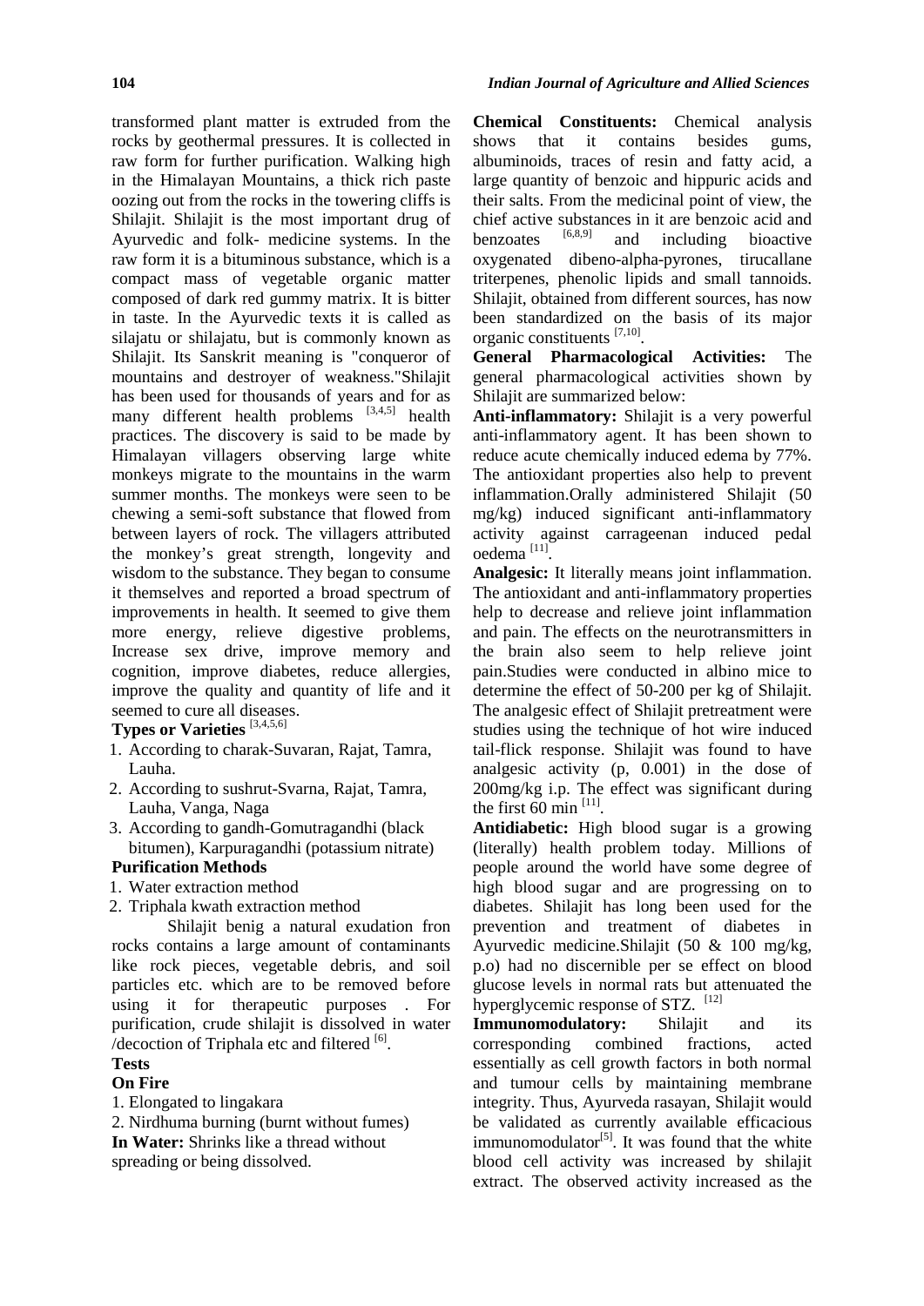transformed plant matter is extruded from the rocks by geothermal pressures. It is collected in raw form for further purification. Walking high in the Himalayan Mountains, a thick rich paste oozing out from the rocks in the towering cliffs is Shilajit. Shilajit is the most important drug of Ayurvedic and folk- medicine systems. In the raw form it is a bituminous substance, which is a compact mass of vegetable organic matter composed of dark red gummy matrix. It is bitter in taste. In the Ayurvedic texts it is called as silajatu or shilajatu, but is commonly known as Shilajit. Its Sanskrit meaning is "conqueror of mountains and destroyer of weakness."Shilajit has been used for thousands of years and for as many different health problems [3,4,5] health practices. The discovery is said to be made by Himalayan villagers observing large white monkeys migrate to the mountains in the warm summer months. The monkeys were seen to be chewing a semi-soft substance that flowed from between layers of rock. The villagers attributed the monkey's great strength, longevity and wisdom to the substance. They began to consume it themselves and reported a broad spectrum of improvements in health. It seemed to give them more energy, relieve digestive problems, Increase sex drive, improve memory and cognition, improve diabetes, reduce allergies, improve the quality and quantity of life and it seemed to cure all diseases.

## **Types or Varieties** [3,4,5,6]

- 1. According to charak-Suvaran, Rajat, Tamra, Lauha.
- 2. According to sushrut-Svarna, Rajat, Tamra, Lauha, Vanga, Naga
- 3. According to gandh-Gomutragandhi (black bitumen), Karpuragandhi (potassium nitrate)

## **Purification Methods**

- 1. Water extraction method
- 2. Triphala kwath extraction method

Shilajit benig a natural exudation fron rocks contains a large amount of contaminants like rock pieces, vegetable debris, and soil particles etc. which are to be removed before using it for therapeutic purposes . For purification, crude shilajit is dissolved in water /decoction of Triphala etc and filtered  $[6]$ .

## **Tests**

#### **On Fire**

1. Elongated to lingakara

2. Nirdhuma burning (burnt without fumes) **In Water:** Shrinks like a thread without spreading or being dissolved.

**Chemical Constituents:** Chemical analysis that it contains besides gums, albuminoids, traces of resin and fatty acid, a large quantity of benzoic and hippuric acids and their salts. From the medicinal point of view, the chief active substances in it are benzoic acid and<br>hanzontes  $[6,8,9]$  and including bioactive and including bioactive oxygenated dibeno-alpha-pyrones, tirucallane triterpenes, phenolic lipids and small tannoids. Shilajit, obtained from different sources, has now been standardized on the basis of its major organic constituents [7,10].

**General Pharmacological Activities:** The general pharmacological activities shown by Shilajit are summarized below:

**Anti-inflammatory:** Shilajit is a very powerful anti-inflammatory agent. It has been shown to reduce acute chemically induced edema by 77%. The antioxidant properties also help to prevent inflammation.Orally administered Shilajit (50 mg/kg) induced significant anti-inflammatory activity against carrageenan induced pedal oedema [11].

**Analgesic:** It literally means joint inflammation. The antioxidant and anti-inflammatory properties help to decrease and relieve joint inflammation and pain. The effects on the neurotransmitters in the brain also seem to help relieve joint pain.Studies were conducted in albino mice to determine the effect of 50-200 per kg of Shilajit. The analgesic effect of Shilajit pretreatment were studies using the technique of hot wire induced tail-flick response. Shilajit was found to have analgesic activity (p, 0.001) in the dose of 200mg/kg i.p. The effect was significant during the first  $60$  min  $^{[11]}$ .

**Antidiabetic:** High blood sugar is a growing (literally) health problem today. Millions of people around the world have some degree of high blood sugar and are progressing on to diabetes. Shilajit has long been used for the prevention and treatment of diabetes in Ayurvedic medicine.Shilajit (50 & 100 mg/kg, p.o) had no discernible per se effect on blood glucose levels in normal rats but attenuated the hyperglycemic response of STZ. [12]

**Immunomodulatory:** Shilajit and its corresponding combined fractions, acted essentially as cell growth factors in both normal and tumour cells by maintaining membrane integrity. Thus, Ayurveda rasayan, Shilajit would be validated as currently available efficacious immunomodulator<sup>[5]</sup>. It was found that the white blood cell activity was increased by shilajit extract. The observed activity increased as the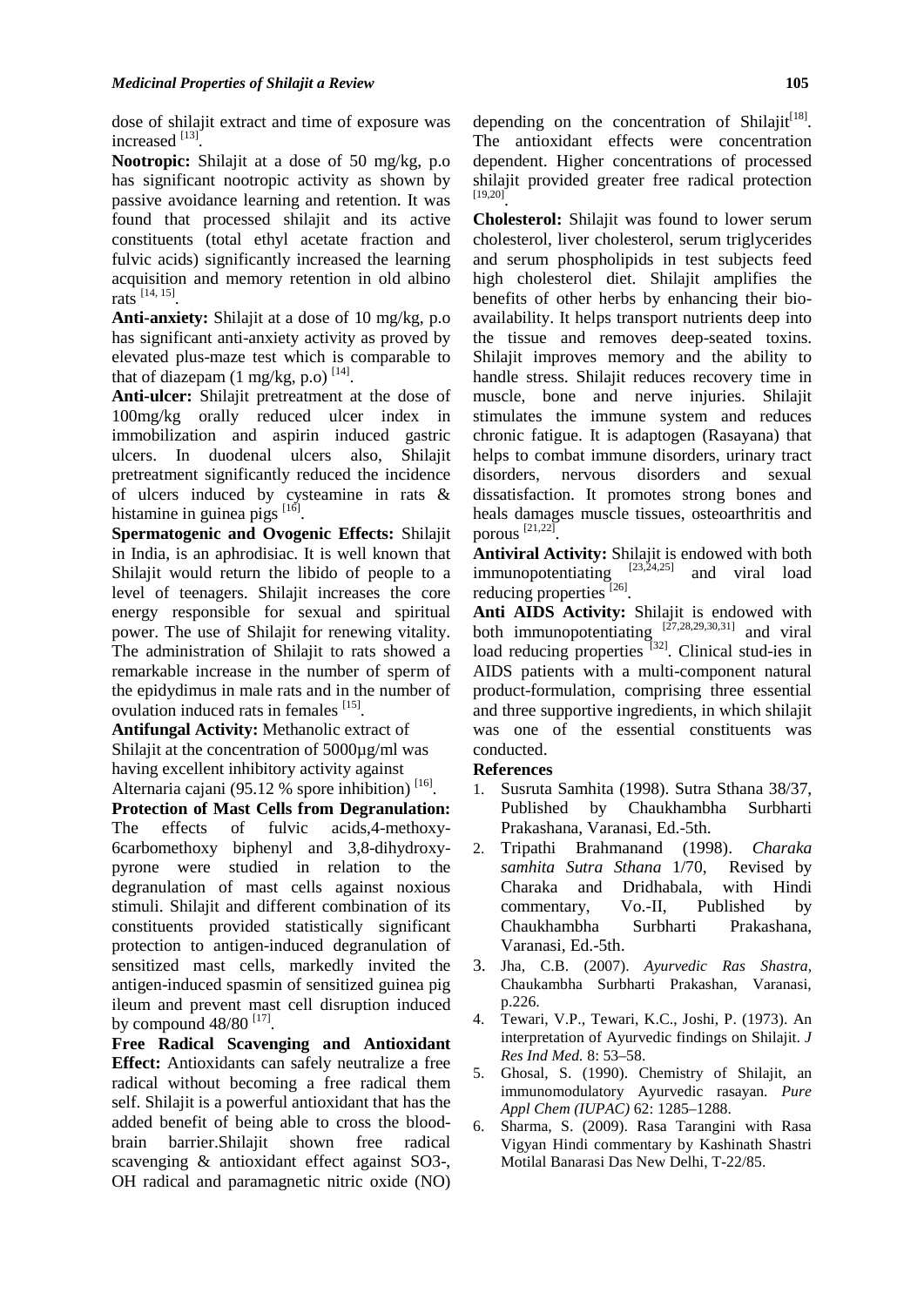dose of shilajit extract and time of exposure was increased  $^{[13]}$ .

**Nootropic:** Shilajit at a dose of 50 mg/kg, p.o has significant nootropic activity as shown by passive avoidance learning and retention. It was found that processed shilajit and its active constituents (total ethyl acetate fraction and fulvic acids) significantly increased the learning acquisition and memory retention in old albino rats [14, 15].

**Anti-anxiety:** Shilajit at a dose of 10 mg/kg, p.o has significant anti-anxiety activity as proved by elevated plus-maze test which is comparable to that of diazepam (1 mg/kg, p.o)  $^{[14]}$ .

**Anti-ulcer:** Shilajit pretreatment at the dose of 100mg/kg orally reduced ulcer index in immobilization and aspirin induced gastric ulcers. In duodenal ulcers also, Shilajit pretreatment significantly reduced the incidence disorders, of ulcers induced by cysteamine in rats & histamine in guinea pigs  $^{[16]}$ .

**Spermatogenic and Ovogenic Effects:** Shilajit in India, is an aphrodisiac. It is well known that Shilajit would return the libido of people to a level of teenagers. Shilajit increases the core energy responsible for sexual and spiritual power. The use of Shilajit for renewing vitality. The administration of Shilajit to rats showed a remarkable increase in the number of sperm of the epidydimus in male rats and in the number of ovulation induced rats in females <sup>[15]</sup>.

**Antifungal Activity:** Methanolic extract of Shilajit at the concentration of 5000 $\mu$ g/ml was having excellent inhibitory activity against Alternaria cajani (95.12 % spore inhibition)<sup>[16]</sup>.

**Protection of Mast Cells from Degranulation:** The effects of fulvic acids,4-methoxy- 6carbomethoxy biphenyl and 3,8-dihydroxy pyrone were studied in relation to the degranulation of mast cells against noxious Charaka stimuli. Shilajit and different combination of its constituents provided statistically significant protection to antigen-induced degranulation of sensitized mast cells, markedly invited the 3. antigen-induced spasmin of sensitized guinea pig ileum and prevent mast cell disruption induced<br>by compound  $48/80$  [17] by compound  $48/80$  <sup>[17]</sup>.

**Free Radical Scavenging and Antioxidant Effect:** Antioxidants can safely neutralize a free 5. radical without becoming a free radical them self. Shilajit is a powerful antioxidant that has the added benefit of being able to cross the blood- 6. brain barrier.Shilajit shown free radical scavenging & antioxidant effect against SO3-, OH radical and paramagnetic nitric oxide (NO)

depending on the concentration of Shilajit<sup>[18]</sup>. The antioxidant effects were concentration dependent. Higher concentrations of processed shilajit provided greater free radical protection [19,20].

**Cholesterol:** Shilajit was found to lower serum cholesterol, liver cholesterol, serum triglycerides and serum phospholipids in test subjects feed high cholesterol diet. Shilajit amplifies the benefits of other herbs by enhancing their bio availability. It helps transport nutrients deep into the tissue and removes deep-seated toxins. Shilajit improves memory and the ability to handle stress. Shilajit reduces recovery time in muscle, bone and nerve injuries. Shilajit stimulates the immune system and reduces chronic fatigue. It is adaptogen (Rasayana) that helps to combat immune disorders, urinary tract nervous disorders and sexual dissatisfaction. It promotes strong bones and heals damages muscle tissues, osteoarthritis and porous [21,22].

**Antiviral Activity:** Shilajit is endowed with both immunopotentiating  $[23,24,25]$  and viral load reducing properties<sup>[26]</sup>.

**Anti AIDS Activity:** Shilajit is endowed with both immunopotentiating  $[27,28,29,30,31]$  and viral load reducing properties <sup>[32]</sup>. Clinical stud-ies in AIDS patients with a multi-component natural product-formulation, comprising three essential and three supportive ingredients, in which shilajit was one of the essential constituents was conducted.

## **References**

- 1. Susruta Samhita (1998). Sutra Sthana 38/37, Published by Chaukhambha Surbharti Prakashana, Varanasi, Ed.-5th.
- 2. Tripathi Brahmanand (1998). *Charaka samhita Sutra Sthana* 1/70, Revised by and Dridhabala, with Hindi commentary, Vo.-II, Published by Chaukhambha Surbharti Prakashana, Varanasi, Ed.-5th.
- 3. Jha, C.B. (2007). *Ayurvedic Ras Shastra*, Chaukambha Surbharti Prakashan, Varanasi, p.226.
- 4. Tewari, V.P., Tewari, K.C., Joshi, P. (1973). An interpretation of Ayurvedic findings on Shilajit. *J Res Ind Med.* 8: 53–58.
- 5. Ghosal, S. (1990). Chemistry of Shilajit, an immunomodulatory Ayurvedic rasayan. *Pure Appl Chem (IUPAC)* 62: 1285–1288.
- 6. Sharma, S. (2009). Rasa Tarangini with Rasa Vigyan Hindi commentary by Kashinath Shastri Motilal Banarasi Das New Delhi, T-22/85.